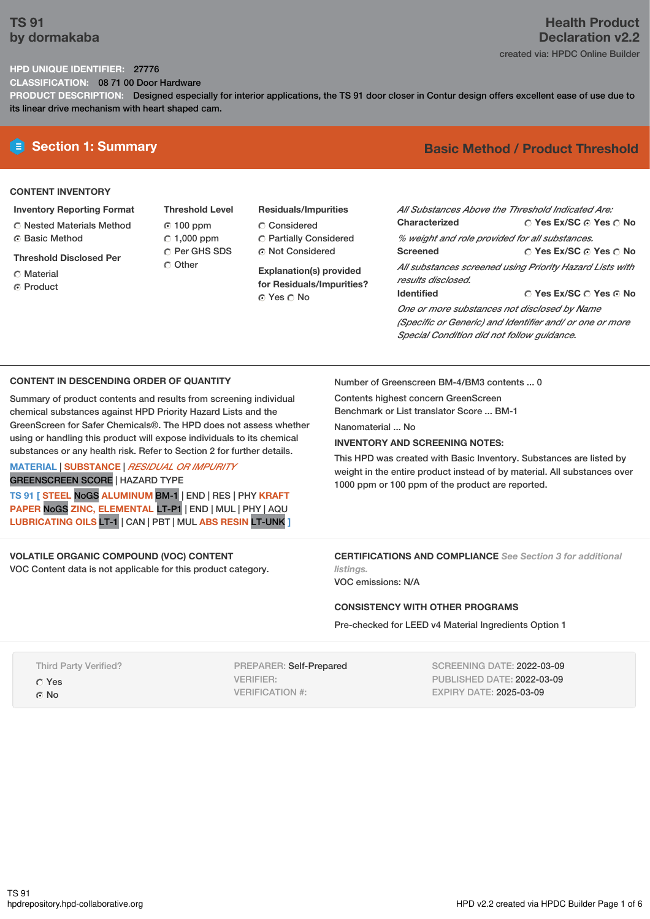## **TS 91 by dormakaba**

# **Health Product Declaration v2.2**

created via: HPDC Online Builder

## **HPD UNIQUE IDENTIFIER:** 27776

**CLASSIFICATION:** 08 71 00 Door Hardware

**PRODUCT DESCRIPTION:** Designed especially for interior applications, the TS 91 door closer in Contur design offers excellent ease of use due to its linear drive mechanism with heart shaped cam.

## **CONTENT INVENTORY**

- **Inventory Reporting Format**
- Nested Materials Method **G** Basic Method
- **Threshold Disclosed Per**
- Material
- ⊙ Product
- **Threshold Level** 100 ppm  $\degree$  1,000 ppm C Per GHS SDS Other
- **Residuals/Impurities** Considered Partially Considered Not Considered

**Explanation(s) provided for Residuals/Impurities?** Yes No

# **E** Section 1: Summary **Basic Method / Product Threshold**

| All Substances Above the Threshold Indicated Are: |                                                          |
|---------------------------------------------------|----------------------------------------------------------|
| Characterized                                     | $\bigcirc$ Yes Ex/SC $\bigcirc$ Yes $\bigcirc$ No        |
| % weight and role provided for all substances.    |                                                          |
| <b>Screened</b>                                   | ∩ Yes Ex/SC ∩ Yes ∩ No                                   |
|                                                   | All substances screened using Priority Hazard Lists with |
| results disclosed.                                |                                                          |
| <b>Identified</b>                                 | ◯ Yes Ex/SC ◯ Yes ⊙ No                                   |
| One or more substances not disclosed by Name      |                                                          |

*(Specific or Generic) and Identifier and/ or one or more Special Condition did not follow guidance.*

## **CONTENT IN DESCENDING ORDER OF QUANTITY**

Summary of product contents and results from screening individual chemical substances against HPD Priority Hazard Lists and the GreenScreen for Safer Chemicals®. The HPD does not assess whether using or handling this product will expose individuals to its chemical substances or any health risk. Refer to Section 2 for further details.

#### **MATERIAL** | **SUBSTANCE** | *RESIDUAL OR IMPURITY* GREENSCREEN SCORE | HAZARD TYPE

**TS 91 [ STEEL** NoGS **ALUMINUM** BM-1 | END | RES | PHY **KRAFT PAPER** NoGS **ZINC, ELEMENTAL** LT-P1 | END | MUL | PHY | AQU **LUBRICATING OILS** LT-1 | CAN | PBT | MUL **ABS RESIN** LT-UNK **]**

## **VOLATILE ORGANIC COMPOUND (VOC) CONTENT**

VOC Content data is not applicable for this product category.

Number of Greenscreen BM-4/BM3 contents ... 0

Contents highest concern GreenScreen Benchmark or List translator Score ... BM-1

Nanomaterial No.

### **INVENTORY AND SCREENING NOTES:**

This HPD was created with Basic Inventory. Substances are listed by weight in the entire product instead of by material. All substances over 1000 ppm or 100 ppm of the product are reported.

**CERTIFICATIONS AND COMPLIANCE** *See Section 3 for additional listings.*

VOC emissions: N/A

## **CONSISTENCY WITH OTHER PROGRAMS**

Pre-checked for LEED v4 Material Ingredients Option 1

Third Party Verified? Yes © No

PREPARER: Self-Prepared VERIFIER: VERIFICATION #:

SCREENING DATE: 2022-03-09 PUBLISHED DATE: 2022-03-09 EXPIRY DATE: 2025-03-09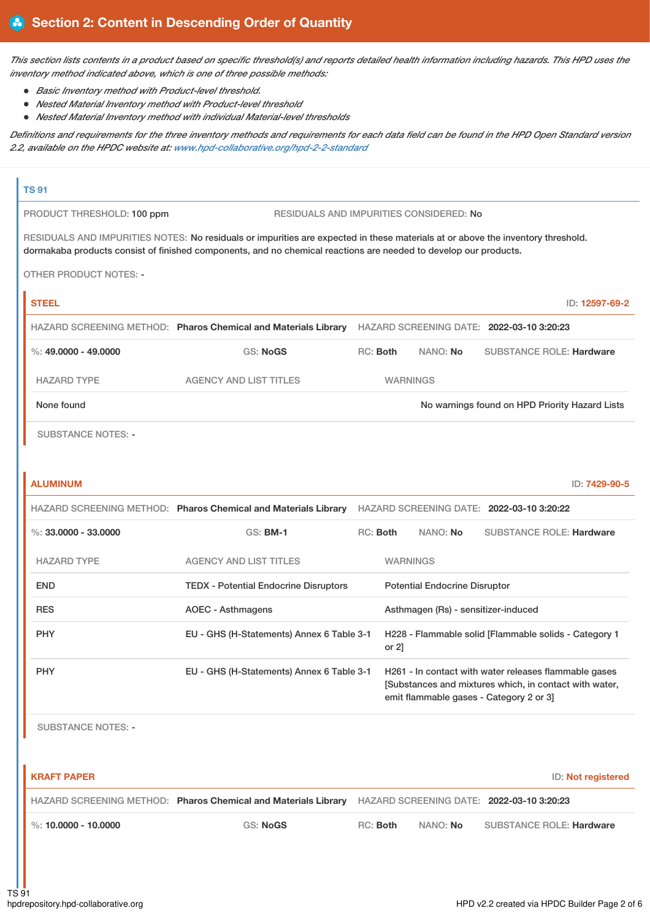This section lists contents in a product based on specific threshold(s) and reports detailed health information including hazards. This HPD uses the *inventory method indicated above, which is one of three possible methods:*

- *Basic Inventory method with Product-level threshold.*
- *Nested Material Inventory method with Product-level threshold*
- *Nested Material Inventory method with individual Material-level thresholds*

Definitions and requirements for the three inventory methods and requirements for each data field can be found in the HPD Open Standard version *2.2, available on the HPDC website at: [www.hpd-collaborative.org/hpd-2-2-standard](https://www.hpd-collaborative.org/hpd-2-2-standard)*

## **TS 91**

PRODUCT THRESHOLD: 100 ppm RESIDUALS AND IMPURITIES CONSIDERED: No

RESIDUALS AND IMPURITIES NOTES: No residuals or impurities are expected in these materials at or above the inventory threshold. dormakaba products consist of finished components, and no chemical reactions are needed to develop our products.

OTHER PRODUCT NOTES: -

| <b>STEEL</b>         |                                                                |          |                 | ID: 12597-69-2                                 |
|----------------------|----------------------------------------------------------------|----------|-----------------|------------------------------------------------|
|                      | HAZARD SCREENING METHOD: Pharos Chemical and Materials Library |          |                 | HAZARD SCREENING DATE: 2022-03-10 3:20:23      |
| %: 49,0000 - 49,0000 | GS: NoGS                                                       | RC: Both | NANO: No        | <b>SUBSTANCE ROLE: Hardware</b>                |
| <b>HAZARD TYPE</b>   | AGENCY AND LIST TITLES                                         |          | <b>WARNINGS</b> |                                                |
| None found           |                                                                |          |                 | No warnings found on HPD Priority Hazard Lists |
|                      |                                                                |          |                 |                                                |

SUBSTANCE NOTES: -

| <b>ALUMINUM</b>        |                                                                |          |                 |                                      |                                                                                                                                                           | ID: 7429-90-5 |
|------------------------|----------------------------------------------------------------|----------|-----------------|--------------------------------------|-----------------------------------------------------------------------------------------------------------------------------------------------------------|---------------|
|                        | HAZARD SCREENING METHOD: Pharos Chemical and Materials Library |          |                 |                                      | HAZARD SCREENING DATE: 2022-03-10 3:20:22                                                                                                                 |               |
| %: $33,0000 - 33,0000$ | <b>GS: BM-1</b>                                                | RC: Both |                 | NANO: No                             | <b>SUBSTANCE ROLE: Hardware</b>                                                                                                                           |               |
| <b>HAZARD TYPE</b>     | <b>AGENCY AND LIST TITLES</b>                                  |          | <b>WARNINGS</b> |                                      |                                                                                                                                                           |               |
| <b>END</b>             | <b>TEDX</b> - Potential Endocrine Disruptors                   |          |                 | <b>Potential Endocrine Disruptor</b> |                                                                                                                                                           |               |
| <b>RES</b>             | <b>AOEC - Asthmagens</b>                                       |          |                 | Asthmagen (Rs) - sensitizer-induced  |                                                                                                                                                           |               |
| <b>PHY</b>             | EU - GHS (H-Statements) Annex 6 Table 3-1                      |          | or $2$ ]        |                                      | H228 - Flammable solid [Flammable solids - Category 1                                                                                                     |               |
| <b>PHY</b>             | EU - GHS (H-Statements) Annex 6 Table 3-1                      |          |                 |                                      | H261 - In contact with water releases flammable gases<br>[Substances and mixtures which, in contact with water,<br>emit flammable gases - Category 2 or 3 |               |

SUBSTANCE NOTES: -

| I KRAFT PAPER            |                                                                                                          |          |                 | ID: Not registered              |
|--------------------------|----------------------------------------------------------------------------------------------------------|----------|-----------------|---------------------------------|
|                          | HAZARD SCREENING METHOD: Pharos Chemical and Materials Library HAZARD SCREENING DATE: 2022-03-10 3:20:23 |          |                 |                                 |
| $\%$ : 10.0000 - 10.0000 | GS: NoGS                                                                                                 | RC: Both | NANO: <b>No</b> | <b>SUBSTANCE ROLE: Hardware</b> |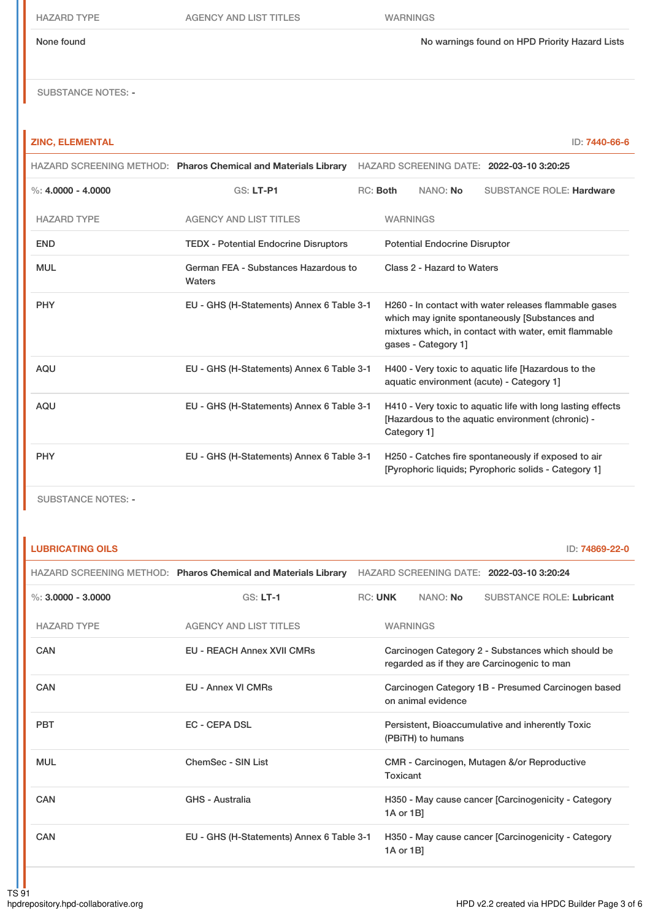#### None found No warnings found on HPD Priority Hazard Lists

SUBSTANCE NOTES: -

## **ZINC, ELEMENTAL** ID: **7440-66-6**

|                      | HAZARD SCREENING METHOD: Pharos Chemical and Materials Library HAZARD SCREENING DATE: 2022-03-10 3:20:25 |          |                 |                                      |                                                                                                                                                                  |
|----------------------|----------------------------------------------------------------------------------------------------------|----------|-----------------|--------------------------------------|------------------------------------------------------------------------------------------------------------------------------------------------------------------|
| %: $4.0000 - 4.0000$ | <b>GS: LT-P1</b>                                                                                         | RC: Both |                 | NANO: No                             | <b>SUBSTANCE ROLE: Hardware</b>                                                                                                                                  |
| <b>HAZARD TYPE</b>   | <b>AGENCY AND LIST TITLES</b>                                                                            |          | <b>WARNINGS</b> |                                      |                                                                                                                                                                  |
| <b>END</b>           | <b>TEDX - Potential Endocrine Disruptors</b>                                                             |          |                 | <b>Potential Endocrine Disruptor</b> |                                                                                                                                                                  |
| <b>MUL</b>           | German FEA - Substances Hazardous to<br>Waters                                                           |          |                 | Class 2 - Hazard to Waters           |                                                                                                                                                                  |
| <b>PHY</b>           | EU - GHS (H-Statements) Annex 6 Table 3-1                                                                |          |                 | gases - Category 1]                  | H260 - In contact with water releases flammable gases<br>which may ignite spontaneously [Substances and<br>mixtures which, in contact with water, emit flammable |
| <b>AQU</b>           | EU - GHS (H-Statements) Annex 6 Table 3-1                                                                |          |                 |                                      | H400 - Very toxic to aquatic life [Hazardous to the<br>aquatic environment (acute) - Category 1]                                                                 |
| <b>AQU</b>           | EU - GHS (H-Statements) Annex 6 Table 3-1                                                                |          | Category 1]     |                                      | H410 - Very toxic to aquatic life with long lasting effects<br>[Hazardous to the aquatic environment (chronic) -                                                 |
| <b>PHY</b>           | EU - GHS (H-Statements) Annex 6 Table 3-1                                                                |          |                 |                                      | H250 - Catches fire spontaneously if exposed to air<br>[Pyrophoric liquids: Pyrophoric solids - Category 1]                                                      |

SUBSTANCE NOTES: -

**LUBRICATING OILS** ID: **74869-22-0**

|                      |                                           | HAZARD SCREENING METHOD: Pharos Chemical and Materials Library HAZARD SCREENING DATE: 2022-03-10 3:20:24 |                 |                    |                                                                                                   |
|----------------------|-------------------------------------------|----------------------------------------------------------------------------------------------------------|-----------------|--------------------|---------------------------------------------------------------------------------------------------|
| %: $3.0000 - 3.0000$ | $GS: LT-1$                                |                                                                                                          | <b>RC: UNK</b>  | NANO: No           | <b>SUBSTANCE ROLE: Lubricant</b>                                                                  |
| <b>HAZARD TYPE</b>   | <b>AGENCY AND LIST TITLES</b>             |                                                                                                          | <b>WARNINGS</b> |                    |                                                                                                   |
| CAN                  | <b>EU - REACH Annex XVII CMRs</b>         |                                                                                                          |                 |                    | Carcinogen Category 2 - Substances which should be<br>regarded as if they are Carcinogenic to man |
| CAN                  | <b>EU - Annex VI CMRs</b>                 |                                                                                                          |                 | on animal evidence | Carcinogen Category 1B - Presumed Carcinogen based                                                |
| <b>PBT</b>           | <b>EC - CEPA DSL</b>                      |                                                                                                          |                 | (PBiTH) to humans  | Persistent, Bioaccumulative and inherently Toxic                                                  |
| <b>MUL</b>           | ChemSec - SIN List                        |                                                                                                          | Toxicant        |                    | CMR - Carcinogen, Mutagen &/or Reproductive                                                       |
| CAN                  | <b>GHS - Australia</b>                    |                                                                                                          | 1A or 1B]       |                    | H350 - May cause cancer [Carcinogenicity - Category                                               |
| CAN                  | EU - GHS (H-Statements) Annex 6 Table 3-1 |                                                                                                          | 1A or 1B]       |                    | H350 - May cause cancer [Carcinogenicity - Category                                               |
|                      |                                           |                                                                                                          |                 |                    |                                                                                                   |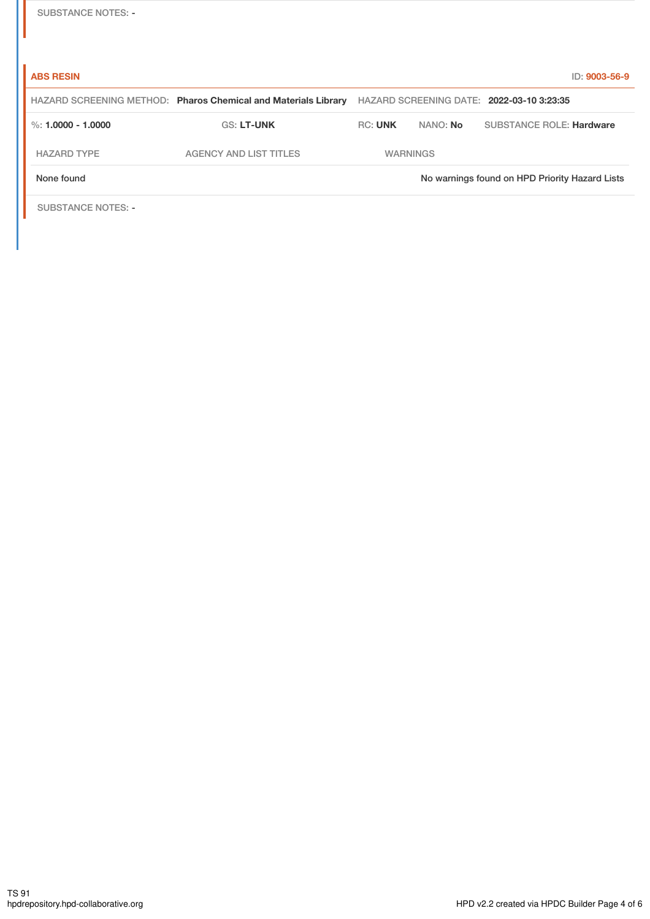| <b>SUBSTANCE NOTES: -</b> |  |
|---------------------------|--|
|---------------------------|--|

| <b>ABS RESIN</b>          |                                                                |                 |                 | ID: 9003-56-9                                  |
|---------------------------|----------------------------------------------------------------|-----------------|-----------------|------------------------------------------------|
|                           | HAZARD SCREENING METHOD: Pharos Chemical and Materials Library |                 |                 | HAZARD SCREENING DATE: 2022-03-10 3:23:35      |
| %: $1.0000 - 1.0000$      | <b>GS: LT-UNK</b>                                              | <b>RC: UNK</b>  | NANO: <b>No</b> | <b>SUBSTANCE ROLE: Hardware</b>                |
| <b>HAZARD TYPE</b>        | <b>AGENCY AND LIST TITLES</b>                                  | <b>WARNINGS</b> |                 |                                                |
| None found                |                                                                |                 |                 | No warnings found on HPD Priority Hazard Lists |
| <b>SUBSTANCE NOTES: -</b> |                                                                |                 |                 |                                                |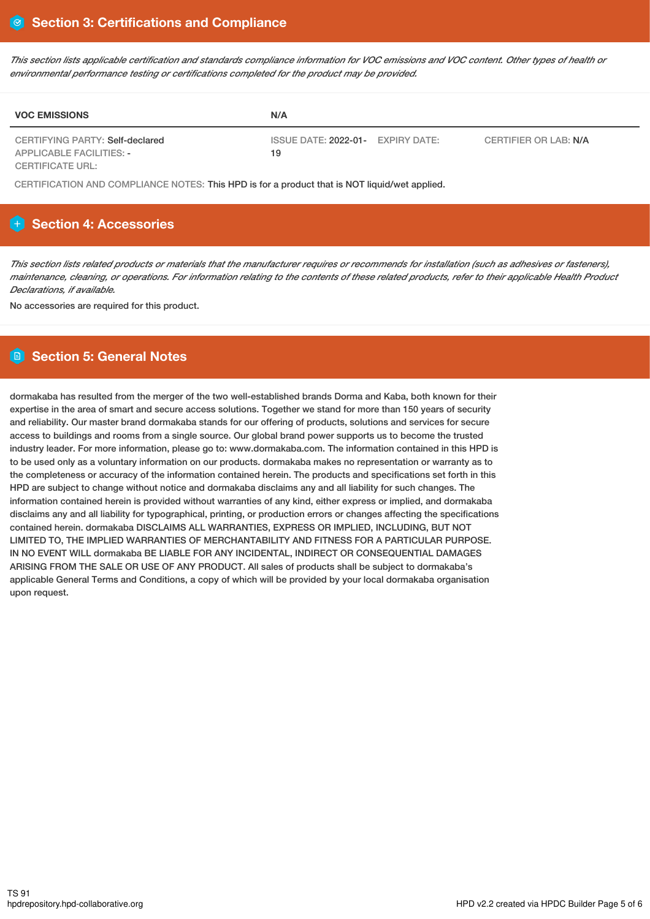This section lists applicable certification and standards compliance information for VOC emissions and VOC content. Other types of health or *environmental performance testing or certifications completed for the product may be provided.*

| <b>VOC EMISSIONS</b>                                               | N/A                                                              |  |
|--------------------------------------------------------------------|------------------------------------------------------------------|--|
| CERTIFYING PARTY: Self-declared<br><b>APPLICABLE FACILITIES: -</b> | ISSUE DATE: 2022-01- EXPIRY DATE:<br>CERTIFIER OR LAB: N/A<br>19 |  |
| CERTIFICATE URL:                                                   |                                                                  |  |

CERTIFICATION AND COMPLIANCE NOTES: This HPD is for a product that is NOT liquid/wet applied.

## **H** Section 4: Accessories

This section lists related products or materials that the manufacturer requires or recommends for installation (such as adhesives or fasteners), maintenance, cleaning, or operations. For information relating to the contents of these related products, refer to their applicable Health Product *Declarations, if available.*

No accessories are required for this product.

## **Section 5: General Notes**

dormakaba has resulted from the merger of the two well-established brands Dorma and Kaba, both known for their expertise in the area of smart and secure access solutions. Together we stand for more than 150 years of security and reliability. Our master brand dormakaba stands for our offering of products, solutions and services for secure access to buildings and rooms from a single source. Our global brand power supports us to become the trusted industry leader. For more information, please go to: www.dormakaba.com. The information contained in this HPD is to be used only as a voluntary information on our products. dormakaba makes no representation or warranty as to the completeness or accuracy of the information contained herein. The products and specifications set forth in this HPD are subject to change without notice and dormakaba disclaims any and all liability for such changes. The information contained herein is provided without warranties of any kind, either express or implied, and dormakaba disclaims any and all liability for typographical, printing, or production errors or changes affecting the specifications contained herein. dormakaba DISCLAIMS ALL WARRANTIES, EXPRESS OR IMPLIED, INCLUDING, BUT NOT LIMITED TO, THE IMPLIED WARRANTIES OF MERCHANTABILITY AND FITNESS FOR A PARTICULAR PURPOSE. IN NO EVENT WILL dormakaba BE LIABLE FOR ANY INCIDENTAL, INDIRECT OR CONSEQUENTIAL DAMAGES ARISING FROM THE SALE OR USE OF ANY PRODUCT. All sales of products shall be subject to dormakaba's applicable General Terms and Conditions, a copy of which will be provided by your local dormakaba organisation upon request.